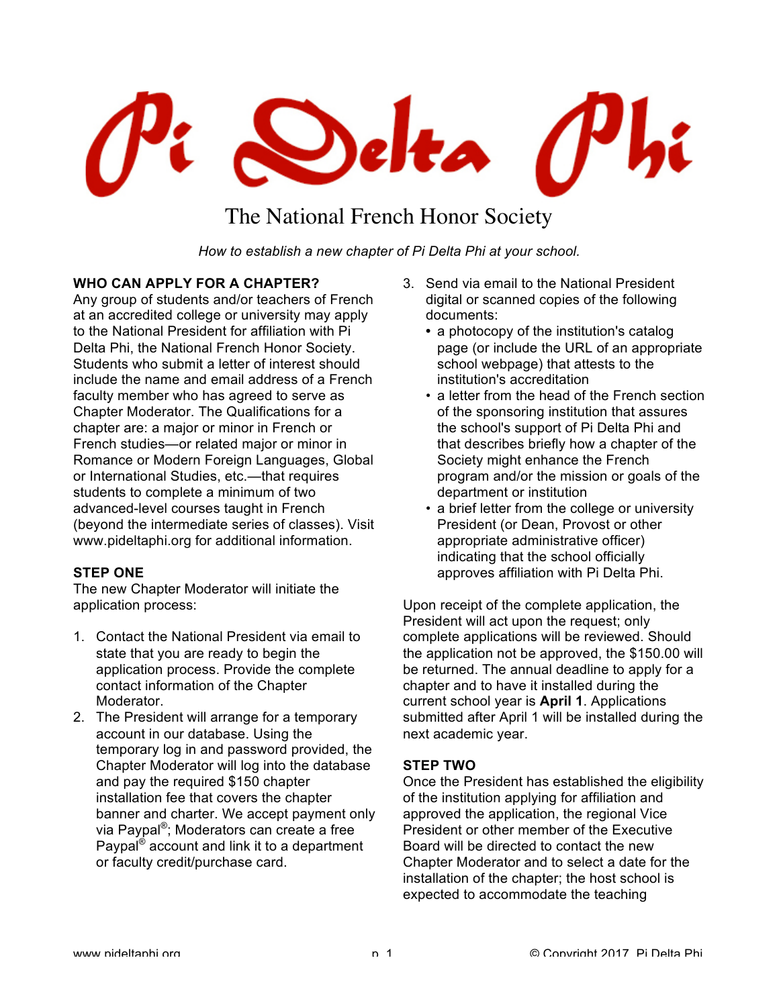

# The National French Honor Society

*How to establish a new chapter of Pi Delta Phi at your school.*

# **WHO CAN APPLY FOR A CHAPTER?**

Any group of students and/or teachers of French at an accredited college or university may apply to the National President for affiliation with Pi Delta Phi, the National French Honor Society. Students who submit a letter of interest should include the name and email address of a French faculty member who has agreed to serve as Chapter Moderator. The Qualifications for a chapter are: a major or minor in French or French studies—or related major or minor in Romance or Modern Foreign Languages, Global or International Studies, etc.—that requires students to complete a minimum of two advanced-level courses taught in French (beyond the intermediate series of classes). Visit www.pideltaphi.org for additional information.

#### **STEP ONE**

The new Chapter Moderator will initiate the application process:

- 1. Contact the National President via email to state that you are ready to begin the application process. Provide the complete contact information of the Chapter Moderator.
- 2. The President will arrange for a temporary account in our database. Using the temporary log in and password provided, the Chapter Moderator will log into the database and pay the required \$150 chapter installation fee that covers the chapter banner and charter. We accept payment only via Paypal®; Moderators can create a free Paypal® account and link it to a department or faculty credit/purchase card.
- 3. Send via email to the National President digital or scanned copies of the following documents:
	- **•** a photocopy of the institution's catalog page (or include the URL of an appropriate school webpage) that attests to the institution's accreditation
	- a letter from the head of the French section of the sponsoring institution that assures the school's support of Pi Delta Phi and that describes briefly how a chapter of the Society might enhance the French program and/or the mission or goals of the department or institution
	- a brief letter from the college or university President (or Dean, Provost or other appropriate administrative officer) indicating that the school officially approves affiliation with Pi Delta Phi.

Upon receipt of the complete application, the President will act upon the request; only complete applications will be reviewed. Should the application not be approved, the \$150.00 will be returned. The annual deadline to apply for a chapter and to have it installed during the current school year is **April 1**. Applications submitted after April 1 will be installed during the next academic year.

#### **STEP TWO**

Once the President has established the eligibility of the institution applying for affiliation and approved the application, the regional Vice President or other member of the Executive Board will be directed to contact the new Chapter Moderator and to select a date for the installation of the chapter; the host school is expected to accommodate the teaching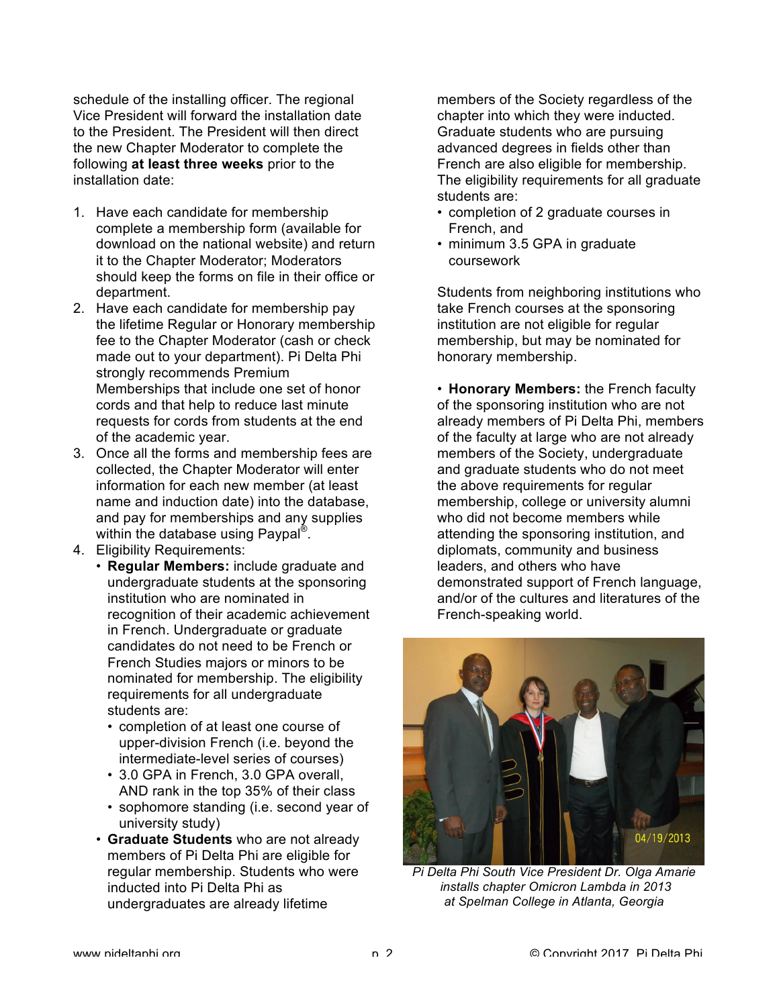schedule of the installing officer. The regional Vice President will forward the installation date to the President. The President will then direct the new Chapter Moderator to complete the following **at least three weeks** prior to the installation date:

- 1. Have each candidate for membership complete a membership form (available for download on the national website) and return it to the Chapter Moderator; Moderators should keep the forms on file in their office or department.
- 2. Have each candidate for membership pay the lifetime Regular or Honorary membership fee to the Chapter Moderator (cash or check made out to your department). Pi Delta Phi strongly recommends Premium Memberships that include one set of honor cords and that help to reduce last minute requests for cords from students at the end of the academic year.
- 3. Once all the forms and membership fees are collected, the Chapter Moderator will enter information for each new member (at least name and induction date) into the database, and pay for memberships and any supplies within the database using Paypal<sup>®</sup>.
- 4. Eligibility Requirements:
	- **Regular Members:** include graduate and undergraduate students at the sponsoring institution who are nominated in recognition of their academic achievement in French. Undergraduate or graduate candidates do not need to be French or French Studies majors or minors to be nominated for membership. The eligibility requirements for all undergraduate students are:
		- completion of at least one course of upper-division French (i.e. beyond the intermediate-level series of courses)
		- 3.0 GPA in French, 3.0 GPA overall, AND rank in the top 35% of their class
		- sophomore standing (i.e. second year of university study)
	- **Graduate Students** who are not already members of Pi Delta Phi are eligible for regular membership. Students who were inducted into Pi Delta Phi as undergraduates are already lifetime

members of the Society regardless of the chapter into which they were inducted. Graduate students who are pursuing advanced degrees in fields other than French are also eligible for membership. The eligibility requirements for all graduate students are:

- completion of 2 graduate courses in French, and
- minimum 3.5 GPA in graduate coursework

Students from neighboring institutions who take French courses at the sponsoring institution are not eligible for regular membership, but may be nominated for honorary membership.

• **Honorary Members:** the French faculty of the sponsoring institution who are not already members of Pi Delta Phi, members of the faculty at large who are not already members of the Society, undergraduate and graduate students who do not meet the above requirements for regular membership, college or university alumni who did not become members while attending the sponsoring institution, and diplomats, community and business leaders, and others who have demonstrated support of French language, and/or of the cultures and literatures of the French-speaking world.



*Pi Delta Phi South Vice President Dr. Olga Amarie installs chapter Omicron Lambda in 2013 at Spelman College in Atlanta, Georgia*